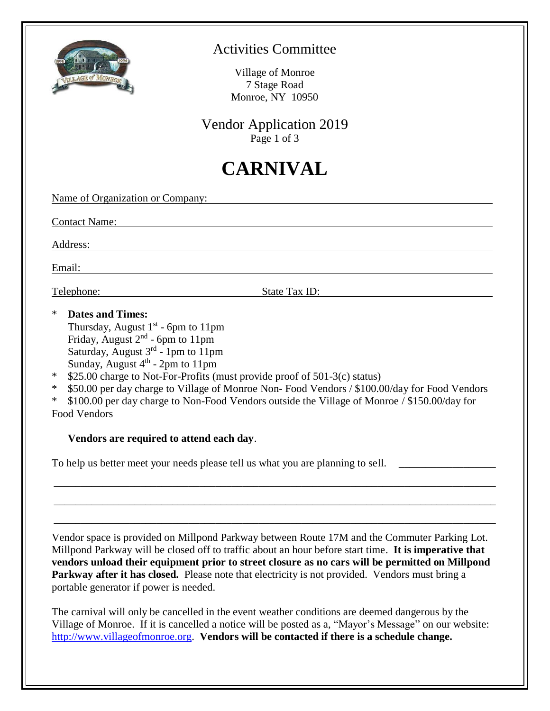

#### Activities Committee

Village of Monroe 7 Stage Road Monroe, NY 10950

Vendor Application 2019 Page 1 of 3

# **CARNIVAL**

Name of Organization or Company:

Contact Name:

Address:

Email:

Telephone: State Tax ID:

\* **Dates and Times:**

Thursday, August  $1<sup>st</sup>$  - 6pm to 11pm Friday, August  $2<sup>nd</sup>$  - 6pm to 11pm Saturday, August 3<sup>rd</sup> - 1pm to 11pm Sunday, August  $4<sup>th</sup>$  - 2pm to 11pm

- \* \$25.00 charge to Not-For-Profits (must provide proof of 501-3(c) status)
- \* \$50.00 per day charge to Village of Monroe Non- Food Vendors / \$100.00/day for Food Vendors

\* \$100.00 per day charge to Non-Food Vendors outside the Village of Monroe / \$150.00/day for Food Vendors

#### **Vendors are required to attend each day**.

To help us better meet your needs please tell us what you are planning to sell. \_\_\_\_\_\_\_\_\_\_\_\_\_\_\_\_\_\_\_\_\_\_\_\_\_\_\_\_\_\_

Vendor space is provided on Millpond Parkway between Route 17M and the Commuter Parking Lot. Millpond Parkway will be closed off to traffic about an hour before start time. **It is imperative that vendors unload their equipment prior to street closure as no cars will be permitted on Millpond Parkway after it has closed.** Please note that electricity is not provided. Vendors must bring a portable generator if power is needed.

\_\_\_\_\_\_\_\_\_\_\_\_\_\_\_\_\_\_\_\_\_\_\_\_\_\_\_\_\_\_\_\_\_\_\_\_\_\_\_\_\_\_\_\_\_\_\_\_\_\_\_\_\_\_\_\_\_\_\_\_\_\_\_\_\_\_\_\_\_\_\_\_\_\_\_\_\_\_\_\_\_\_

\_\_\_\_\_\_\_\_\_\_\_\_\_\_\_\_\_\_\_\_\_\_\_\_\_\_\_\_\_\_\_\_\_\_\_\_\_\_\_\_\_\_\_\_\_\_\_\_\_\_\_\_\_\_\_\_\_\_\_\_\_\_\_\_\_\_\_\_\_\_\_\_\_\_\_\_\_\_\_\_\_\_

\_\_\_\_\_\_\_\_\_\_\_\_\_\_\_\_\_\_\_\_\_\_\_\_\_\_\_\_\_\_\_\_\_\_\_\_\_\_\_\_\_\_\_\_\_\_\_\_\_\_\_\_\_\_\_\_\_\_\_\_\_\_\_\_\_\_\_\_\_\_\_\_\_\_\_\_\_\_\_\_\_\_

The carnival will only be cancelled in the event weather conditions are deemed dangerous by the Village of Monroe. If it is cancelled a notice will be posted as a, "Mayor's Message" on our website: [http://www.villageofmonroe.org.](http://www.villageofmonroe.org/) **Vendors will be contacted if there is a schedule change.**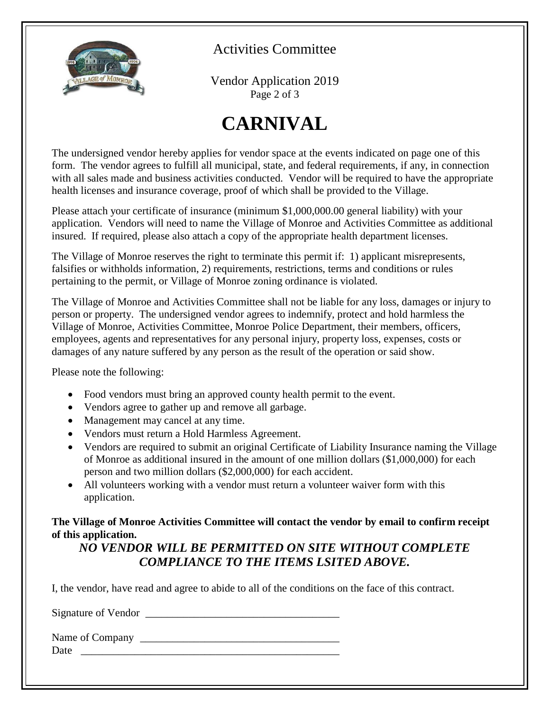

Activities Committee

Vendor Application 2019 Page 2 of 3

# **CARNIVAL**

The undersigned vendor hereby applies for vendor space at the events indicated on page one of this form. The vendor agrees to fulfill all municipal, state, and federal requirements, if any, in connection with all sales made and business activities conducted. Vendor will be required to have the appropriate health licenses and insurance coverage, proof of which shall be provided to the Village.

Please attach your certificate of insurance (minimum \$1,000,000.00 general liability) with your application. Vendors will need to name the Village of Monroe and Activities Committee as additional insured. If required, please also attach a copy of the appropriate health department licenses.

The Village of Monroe reserves the right to terminate this permit if: 1) applicant misrepresents, falsifies or withholds information, 2) requirements, restrictions, terms and conditions or rules pertaining to the permit, or Village of Monroe zoning ordinance is violated.

The Village of Monroe and Activities Committee shall not be liable for any loss, damages or injury to person or property. The undersigned vendor agrees to indemnify, protect and hold harmless the Village of Monroe, Activities Committee, Monroe Police Department, their members, officers, employees, agents and representatives for any personal injury, property loss, expenses, costs or damages of any nature suffered by any person as the result of the operation or said show.

Please note the following:

- Food vendors must bring an approved county health permit to the event.
- Vendors agree to gather up and remove all garbage.
- Management may cancel at any time.
- Vendors must return a Hold Harmless Agreement.
- Vendors are required to submit an original Certificate of Liability Insurance naming the Village of Monroe as additional insured in the amount of one million dollars (\$1,000,000) for each person and two million dollars (\$2,000,000) for each accident.
- All volunteers working with a vendor must return a volunteer waiver form with this application.

**The Village of Monroe Activities Committee will contact the vendor by email to confirm receipt of this application.**

#### *NO VENDOR WILL BE PERMITTED ON SITE WITHOUT COMPLETE COMPLIANCE TO THE ITEMS LSITED ABOVE.*

I, the vendor, have read and agree to abide to all of the conditions on the face of this contract.

Signature of Vendor \_\_\_\_\_\_\_\_\_\_\_\_\_\_\_\_\_\_\_\_\_\_\_\_\_\_\_\_\_\_\_\_\_\_\_\_

Name of Company \_\_\_\_\_\_\_\_\_\_\_\_\_\_\_\_\_\_\_\_\_\_\_\_\_\_\_\_\_\_\_\_\_\_\_\_\_ Date  $\frac{1}{\sqrt{1-\frac{1}{2}}}\$